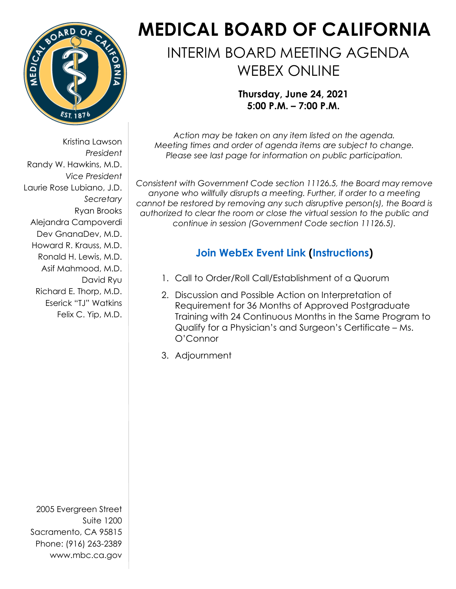

Kristina Lawson *President* Randy W. Hawkins, M.D. *Vice President* Laurie Rose Lubiano, J.D. *Secretary* Ryan Brooks Alejandra Campoverdi Dev GnanaDev, M.D. Howard R. Krauss, M.D. Ronald H. Lewis, M.D. Asif Mahmood, M.D. David Ryu Richard E. Thorp, M.D. Eserick "TJ" Watkins Felix C. Yip, M.D.

2005 Evergreen Street Suite 1200 Sacramento, CA 95815 Phone: (916) 263-2389 www.mbc.ca.gov

## **MEDICAL BOARD OF CALIFORNIA**

## INTERIM BOARD MEETING AGENDA WEBEX ONLINE

**Thursday, June 24, 2021 5:00 P.M. – 7:00 P.M.**

*Action may be taken on any item listed on the agenda. Meeting times and order of agenda items are subject to change. Please see last page for information on public participation.*

*Consistent with Government Code section 11126.5, the Board may remove anyone who willfully disrupts a meeting. Further, if order to a meeting cannot be restored by removing any such disruptive person(s), the Board is authorized to clear the room or close the virtual session to the public and continue in session (Government Code section 11126.5).* 

## **[Join WebEx](https://dca-meetings.webex.com/dca-meetings/onstage/g.php?MTID=e603a1f224d1e0ce6288a0ed1e2335b6f) Event Link [\(Instructions\)](https://www.mbc.ca.gov/Download/User-Guides/HowToJoinAWebExEvent.pdf)**

- 1. Call to Order/Roll Call/Establishment of a Quorum
- 2. Discussion and Possible Action on Interpretation of Requirement for 36 Months of Approved Postgraduate Training with 24 Continuous Months in the Same Program to Qualify for a Physician's and Surgeon's Certificate – Ms. O'Connor
- 3. Adjournment